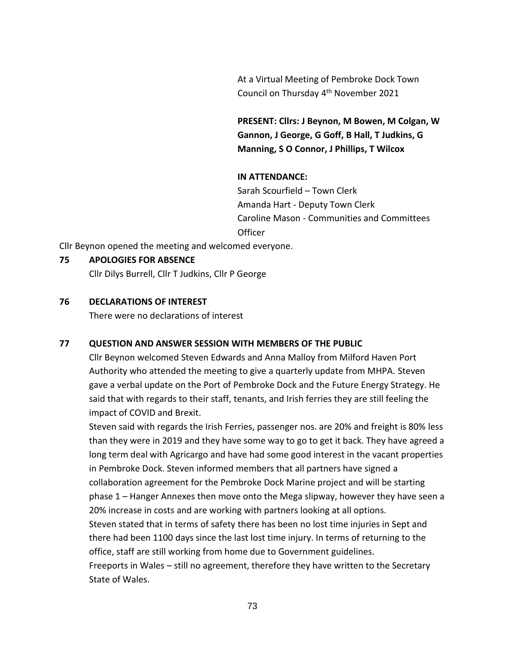At a Virtual Meeting of Pembroke Dock Town Council on Thursday 4<sup>th</sup> November 2021

**PRESENT: Cllrs: J Beynon, M Bowen, M Colgan, W Gannon, J George, G Goff, B Hall, T Judkins, G Manning, S O Connor, J Phillips, T Wilcox**

## **IN ATTENDANCE:**

Sarah Scourfield – Town Clerk Amanda Hart - Deputy Town Clerk Caroline Mason - Communities and Committees **Officer** 

Cllr Beynon opened the meeting and welcomed everyone.

## **75 APOLOGIES FOR ABSENCE**

Cllr Dilys Burrell, Cllr T Judkins, Cllr P George

## **76 DECLARATIONS OF INTEREST**

There were no declarations of interest

## **77 QUESTION AND ANSWER SESSION WITH MEMBERS OF THE PUBLIC**

Cllr Beynon welcomed Steven Edwards and Anna Malloy from Milford Haven Port Authority who attended the meeting to give a quarterly update from MHPA. Steven gave a verbal update on the Port of Pembroke Dock and the Future Energy Strategy. He said that with regards to their staff, tenants, and Irish ferries they are still feeling the impact of COVID and Brexit.

Steven said with regards the Irish Ferries, passenger nos. are 20% and freight is 80% less than they were in 2019 and they have some way to go to get it back. They have agreed a long term deal with Agricargo and have had some good interest in the vacant properties in Pembroke Dock. Steven informed members that all partners have signed a collaboration agreement for the Pembroke Dock Marine project and will be starting phase 1 – Hanger Annexes then move onto the Mega slipway, however they have seen a 20% increase in costs and are working with partners looking at all options.

Steven stated that in terms of safety there has been no lost time injuries in Sept and there had been 1100 days since the last lost time injury. In terms of returning to the office, staff are still working from home due to Government guidelines.

Freeports in Wales – still no agreement, therefore they have written to the Secretary State of Wales.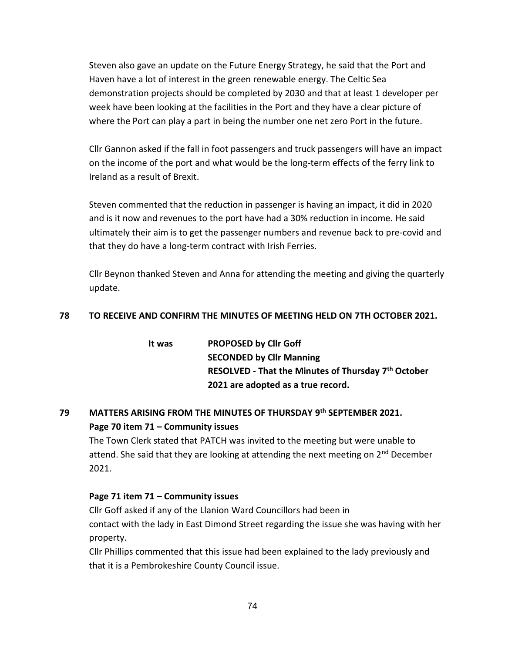Steven also gave an update on the Future Energy Strategy, he said that the Port and Haven have a lot of interest in the green renewable energy. The Celtic Sea demonstration projects should be completed by 2030 and that at least 1 developer per week have been looking at the facilities in the Port and they have a clear picture of where the Port can play a part in being the number one net zero Port in the future.

Cllr Gannon asked if the fall in foot passengers and truck passengers will have an impact on the income of the port and what would be the long-term effects of the ferry link to Ireland as a result of Brexit.

Steven commented that the reduction in passenger is having an impact, it did in 2020 and is it now and revenues to the port have had a 30% reduction in income. He said ultimately their aim is to get the passenger numbers and revenue back to pre-covid and that they do have a long-term contract with Irish Ferries.

Cllr Beynon thanked Steven and Anna for attending the meeting and giving the quarterly update.

## **78 TO RECEIVE AND CONFIRM THE MINUTES OF MEETING HELD ON 7TH OCTOBER 2021.**

| lt was | <b>PROPOSED by Cllr Goff</b>                                    |
|--------|-----------------------------------------------------------------|
|        | <b>SECONDED by Cllr Manning</b>                                 |
|        | RESOLVED - That the Minutes of Thursday 7 <sup>th</sup> October |
|        | 2021 are adopted as a true record.                              |

# **79 MATTERS ARISING FROM THE MINUTES OF THURSDAY 9 th SEPTEMBER 2021. Page 70 item 71 – Community issues**

The Town Clerk stated that PATCH was invited to the meeting but were unable to attend. She said that they are looking at attending the next meeting on  $2<sup>nd</sup>$  December 2021.

## **Page 71 item 71 – Community issues**

Cllr Goff asked if any of the Llanion Ward Councillors had been in contact with the lady in East Dimond Street regarding the issue she was having with her property.

Cllr Phillips commented that this issue had been explained to the lady previously and that it is a Pembrokeshire County Council issue.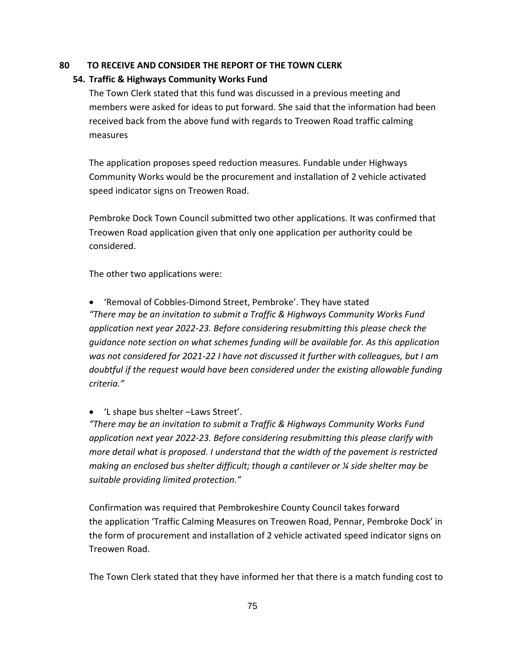## **80 TO RECEIVE AND CONSIDER THE REPORT OF THE TOWN CLERK**

## **54. Traffic & Highways Community Works Fund**

The Town Clerk stated that this fund was discussed in a previous meeting and members were asked for ideas to put forward. She said that the information had been received back from the above fund with regards to Treowen Road traffic calming measures

The application proposes speed reduction measures. Fundable under Highways Community Works would be the procurement and installation of 2 vehicle activated speed indicator signs on Treowen Road.

Pembroke Dock Town Council submitted two other applications. It was confirmed that Treowen Road application given that only one application per authority could be considered.

The other two applications were:

• 'Removal of Cobbles-Dimond Street, Pembroke'. They have stated *"There may be an invitation to submit a Traffic & Highways Community Works Fund application next year 2022-23. Before considering resubmitting this please check the guidance note section on what schemes funding will be available for. As this application was not considered for 2021-22 I have not discussed it further with colleagues, but I am doubtful if the request would have been considered under the existing allowable funding criteria."*

• 'L shape bus shelter –Laws Street'.

*"There may be an invitation to submit a Traffic & Highways Community Works Fund application next year 2022-23. Before considering resubmitting this please clarify with more detail what is proposed. I understand that the width of the pavement is restricted making an enclosed bus shelter difficult; though a cantilever or ¼ side shelter may be suitable providing limited protection."*

Confirmation was required that Pembrokeshire County Council takes forward the application 'Traffic Calming Measures on Treowen Road, Pennar, Pembroke Dock' in the form of procurement and installation of 2 vehicle activated speed indicator signs on Treowen Road.

The Town Clerk stated that they have informed her that there is a match funding cost to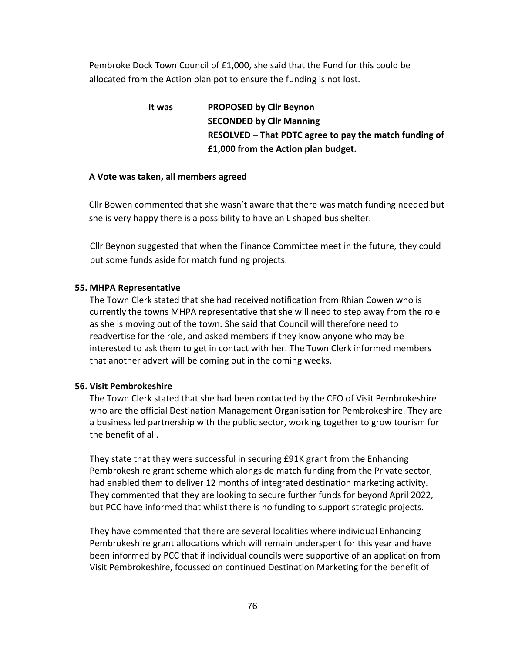Pembroke Dock Town Council of £1,000, she said that the Fund for this could be allocated from the Action plan pot to ensure the funding is not lost.

> **It was PROPOSED by Cllr Beynon SECONDED by Cllr Manning RESOLVED – That PDTC agree to pay the match funding of £1,000 from the Action plan budget.**

## **A Vote was taken, all members agreed**

Cllr Bowen commented that she wasn't aware that there was match funding needed but she is very happy there is a possibility to have an L shaped bus shelter.

Cllr Beynon suggested that when the Finance Committee meet in the future, they could put some funds aside for match funding projects.

## **55. MHPA Representative**

The Town Clerk stated that she had received notification from Rhian Cowen who is currently the towns MHPA representative that she will need to step away from the role as she is moving out of the town. She said that Council will therefore need to readvertise for the role, and asked members if they know anyone who may be interested to ask them to get in contact with her. The Town Clerk informed members that another advert will be coming out in the coming weeks.

## **56. Visit Pembrokeshire**

The Town Clerk stated that she had been contacted by the CEO of Visit Pembrokeshire who are the official Destination Management Organisation for Pembrokeshire. They are a business led partnership with the public sector, working together to grow tourism for the benefit of all.

They state that they were successful in securing £91K grant from the Enhancing Pembrokeshire grant scheme which alongside match funding from the Private sector, had enabled them to deliver 12 months of integrated destination marketing activity. They commented that they are looking to secure further funds for beyond April 2022, but PCC have informed that whilst there is no funding to support strategic projects.

They have commented that there are several localities where individual Enhancing Pembrokeshire grant allocations which will remain underspent for this year and have been informed by PCC that if individual councils were supportive of an application from Visit Pembrokeshire, focussed on continued Destination Marketing for the benefit of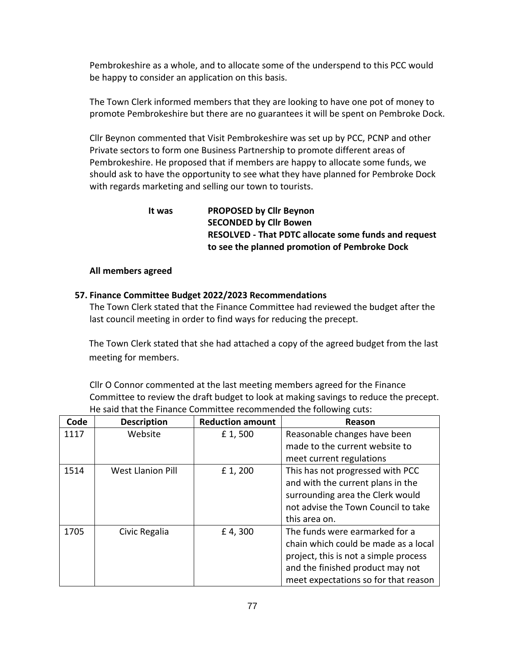Pembrokeshire as a whole, and to allocate some of the underspend to this PCC would be happy to consider an application on this basis.

The Town Clerk informed members that they are looking to have one pot of money to promote Pembrokeshire but there are no guarantees it will be spent on Pembroke Dock.

Cllr Beynon commented that Visit Pembrokeshire was set up by PCC, PCNP and other Private sectors to form one Business Partnership to promote different areas of Pembrokeshire. He proposed that if members are happy to allocate some funds, we should ask to have the opportunity to see what they have planned for Pembroke Dock with regards marketing and selling our town to tourists.

> **It was PROPOSED by Cllr Beynon SECONDED by Cllr Bowen RESOLVED - That PDTC allocate some funds and request to see the planned promotion of Pembroke Dock**

## **All members agreed**

## **57. Finance Committee Budget 2022/2023 Recommendations**

The Town Clerk stated that the Finance Committee had reviewed the budget after the last council meeting in order to find ways for reducing the precept.

The Town Clerk stated that she had attached a copy of the agreed budget from the last meeting for members.

Cllr O Connor commented at the last meeting members agreed for the Finance Committee to review the draft budget to look at making savings to reduce the precept. He said that the Finance Committee recommended the following cuts:

| Code | <b>Description</b>       | <b>Reduction amount</b> | Reason                                |
|------|--------------------------|-------------------------|---------------------------------------|
| 1117 | Website                  | £1,500                  | Reasonable changes have been          |
|      |                          |                         | made to the current website to        |
|      |                          |                         | meet current regulations              |
| 1514 | <b>West Llanion Pill</b> | £1,200                  | This has not progressed with PCC      |
|      |                          |                         | and with the current plans in the     |
|      |                          |                         | surrounding area the Clerk would      |
|      |                          |                         | not advise the Town Council to take   |
|      |                          |                         | this area on.                         |
| 1705 | Civic Regalia            | £4,300                  | The funds were earmarked for a        |
|      |                          |                         | chain which could be made as a local  |
|      |                          |                         | project, this is not a simple process |
|      |                          |                         | and the finished product may not      |
|      |                          |                         | meet expectations so for that reason  |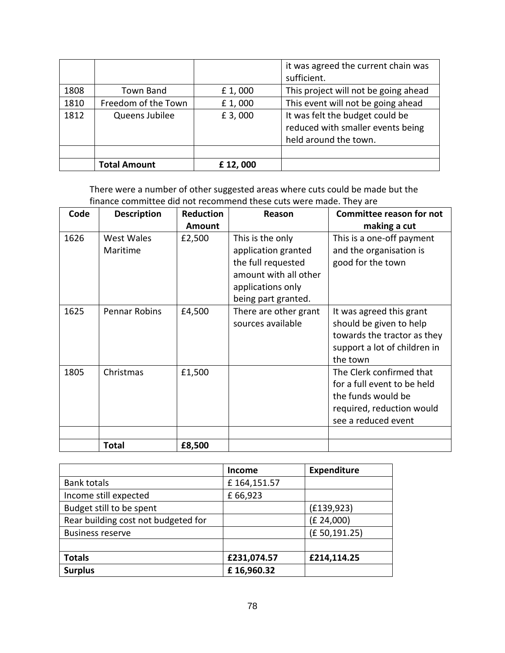|      |                     |         | it was agreed the current chain was<br>sufficient.                                            |
|------|---------------------|---------|-----------------------------------------------------------------------------------------------|
| 1808 | Town Band           | £1,000  | This project will not be going ahead                                                          |
| 1810 | Freedom of the Town | £1,000  | This event will not be going ahead                                                            |
| 1812 | Queens Jubilee      | £ 3,000 | It was felt the budget could be<br>reduced with smaller events being<br>held around the town. |
|      |                     |         |                                                                                               |
|      | <b>Total Amount</b> | £12,000 |                                                                                               |

There were a number of other suggested areas where cuts could be made but the finance committee did not recommend these cuts were made. They are

| Code | <b>Description</b>     | <b>Reduction</b> | Reason                                                                                                      | <b>Committee reason for not</b>                                                                                                   |
|------|------------------------|------------------|-------------------------------------------------------------------------------------------------------------|-----------------------------------------------------------------------------------------------------------------------------------|
|      |                        | <b>Amount</b>    |                                                                                                             | making a cut                                                                                                                      |
| 1626 | West Wales<br>Maritime | £2,500           | This is the only<br>application granted<br>the full requested<br>amount with all other<br>applications only | This is a one-off payment<br>and the organisation is<br>good for the town                                                         |
| 1625 | <b>Pennar Robins</b>   | £4,500           | being part granted.<br>There are other grant<br>sources available                                           | It was agreed this grant<br>should be given to help<br>towards the tractor as they<br>support a lot of children in<br>the town    |
| 1805 | Christmas              | £1,500           |                                                                                                             | The Clerk confirmed that<br>for a full event to be held<br>the funds would be<br>required, reduction would<br>see a reduced event |
|      | <b>Total</b>           | £8,500           |                                                                                                             |                                                                                                                                   |

|                                     | <b>Income</b> | Expenditure  |
|-------------------------------------|---------------|--------------|
| <b>Bank totals</b>                  | £164,151.57   |              |
| Income still expected               | £66,923       |              |
| Budget still to be spent            |               | (E139, 923)  |
| Rear building cost not budgeted for |               | (E 24,000)   |
| <b>Business reserve</b>             |               | (£50,191.25) |
|                                     |               |              |
| <b>Totals</b>                       | £231,074.57   | £214,114.25  |
| <b>Surplus</b>                      | £16,960.32    |              |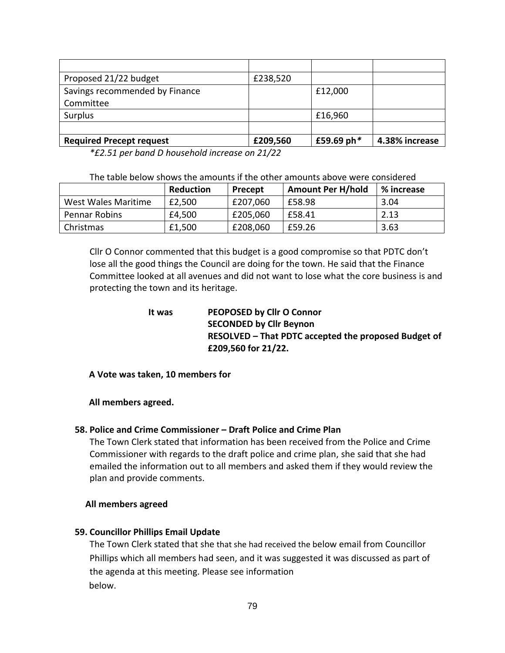| Proposed 21/22 budget           | £238,520 |               |                |
|---------------------------------|----------|---------------|----------------|
| Savings recommended by Finance  |          | £12,000       |                |
| Committee                       |          |               |                |
| Surplus                         |          | £16,960       |                |
|                                 |          |               |                |
| <b>Required Precept request</b> | £209,560 | £59.69 ph $*$ | 4.38% increase |

*\*£2.51 per band D household increase on 21/22*

|                     | <b>Reduction</b> | Precept  | <b>Amount Per H/hold</b> | % increase |
|---------------------|------------------|----------|--------------------------|------------|
| West Wales Maritime | £2,500           | £207,060 | £58.98                   | 3.04       |
| Pennar Robins       | £4,500           | £205,060 | £58.41                   | 2.13       |
| Christmas           | £1,500           | £208,060 | £59.26                   | 3.63       |

Cllr O Connor commented that this budget is a good compromise so that PDTC don't lose all the good things the Council are doing for the town. He said that the Finance Committee looked at all avenues and did not want to lose what the core business is and protecting the town and its heritage.

| lt was | PEOPOSED by Cllr O Connor                            |
|--------|------------------------------------------------------|
|        | <b>SECONDED by Cllr Beynon</b>                       |
|        | RESOLVED – That PDTC accepted the proposed Budget of |
|        | £209,560 for 21/22.                                  |

## **A Vote was taken, 10 members for**

## **All members agreed.**

## **58. Police and Crime Commissioner – Draft Police and Crime Plan**

The Town Clerk stated that information has been received from the Police and Crime Commissioner with regards to the draft police and crime plan, she said that she had emailed the information out to all members and asked them if they would review the plan and provide comments.

## **All members agreed**

## **59. Councillor Phillips Email Update**

The Town Clerk stated that she that she had received the below email from Councillor Phillips which all members had seen, and it was suggested it was discussed as part of the agenda at this meeting. Please see information below.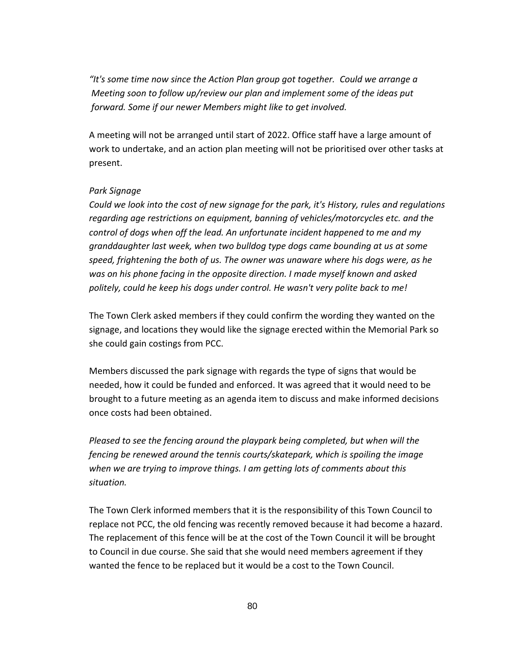*"It's some time now since the Action Plan group got together. Could we arrange a Meeting soon to follow up/review our plan and implement some of the ideas put forward. Some if our newer Members might like to get involved.*

A meeting will not be arranged until start of 2022. Office staff have a large amount of work to undertake, and an action plan meeting will not be prioritised over other tasks at present.

## *Park Signage*

*Could we look into the cost of new signage for the park, it's History, rules and regulations regarding age restrictions on equipment, banning of vehicles/motorcycles etc. and the control of dogs when off the lead. An unfortunate incident happened to me and my granddaughter last week, when two bulldog type dogs came bounding at us at some speed, frightening the both of us. The owner was unaware where his dogs were, as he was on his phone facing in the opposite direction. I made myself known and asked politely, could he keep his dogs under control. He wasn't very polite back to me!*

The Town Clerk asked members if they could confirm the wording they wanted on the signage, and locations they would like the signage erected within the Memorial Park so she could gain costings from PCC.

Members discussed the park signage with regards the type of signs that would be needed, how it could be funded and enforced. It was agreed that it would need to be brought to a future meeting as an agenda item to discuss and make informed decisions once costs had been obtained.

*Pleased to see the fencing around the playpark being completed, but when will the fencing be renewed around the tennis courts/skatepark, which is spoiling the image when we are trying to improve things. I am getting lots of comments about this situation.*

The Town Clerk informed members that it is the responsibility of this Town Council to replace not PCC, the old fencing was recently removed because it had become a hazard. The replacement of this fence will be at the cost of the Town Council it will be brought to Council in due course. She said that she would need members agreement if they wanted the fence to be replaced but it would be a cost to the Town Council.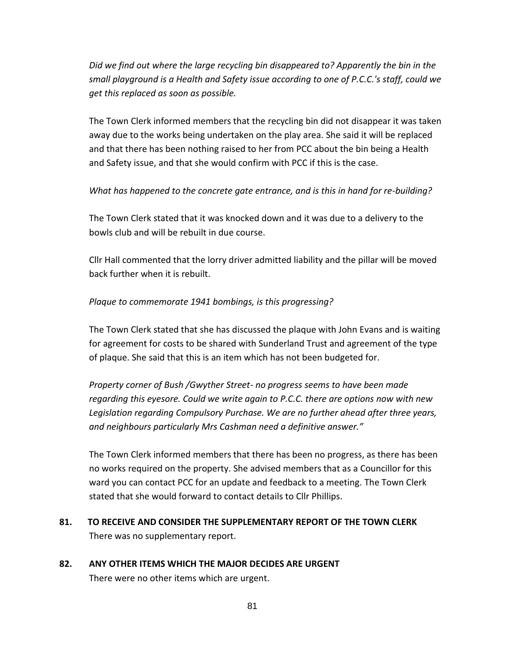*Did we find out where the large recycling bin disappeared to? Apparently the bin in the small playground is a Health and Safety issue according to one of P.C.C.'s staff, could we get this replaced as soon as possible.*

The Town Clerk informed members that the recycling bin did not disappear it was taken away due to the works being undertaken on the play area. She said it will be replaced and that there has been nothing raised to her from PCC about the bin being a Health and Safety issue, and that she would confirm with PCC if this is the case.

## *What has happened to the concrete gate entrance, and is this in hand for re-building?*

The Town Clerk stated that it was knocked down and it was due to a delivery to the bowls club and will be rebuilt in due course.

Cllr Hall commented that the lorry driver admitted liability and the pillar will be moved back further when it is rebuilt.

## *Plaque to commemorate 1941 bombings, is this progressing?*

The Town Clerk stated that she has discussed the plaque with John Evans and is waiting for agreement for costs to be shared with Sunderland Trust and agreement of the type of plaque. She said that this is an item which has not been budgeted for.

*Property corner of Bush /Gwyther Street- no progress seems to have been made regarding this eyesore. Could we write again to P.C.C. there are options now with new Legislation regarding Compulsory Purchase. We are no further ahead after three years, and neighbours particularly Mrs Cashman need a definitive answer."*

The Town Clerk informed members that there has been no progress, as there has been no works required on the property. She advised members that as a Councillor for this ward you can contact PCC for an update and feedback to a meeting. The Town Clerk stated that she would forward to contact details to Cllr Phillips.

- **81. TO RECEIVE AND CONSIDER THE SUPPLEMENTARY REPORT OF THE TOWN CLERK** There was no supplementary report.
- **82. ANY OTHER ITEMS WHICH THE MAJOR DECIDES ARE URGENT** There were no other items which are urgent.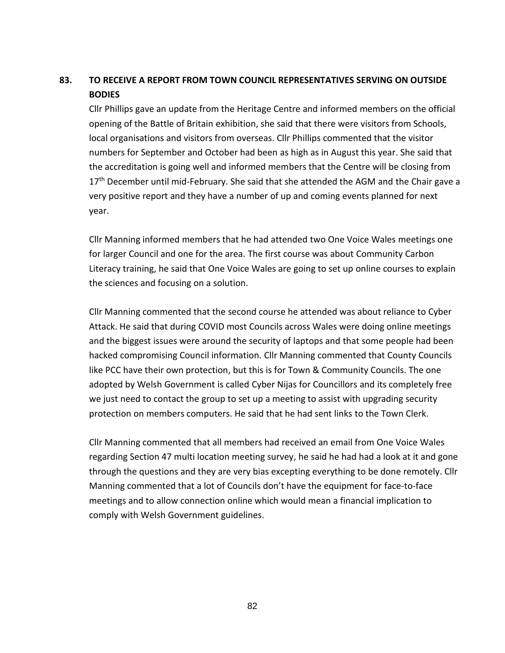# **83. TO RECEIVE A REPORT FROM TOWN COUNCIL REPRESENTATIVES SERVING ON OUTSIDE BODIES**

Cllr Phillips gave an update from the Heritage Centre and informed members on the official opening of the Battle of Britain exhibition, she said that there were visitors from Schools, local organisations and visitors from overseas. Cllr Phillips commented that the visitor numbers for September and October had been as high as in August this year. She said that the accreditation is going well and informed members that the Centre will be closing from  $17<sup>th</sup>$  December until mid-February. She said that she attended the AGM and the Chair gave a very positive report and they have a number of up and coming events planned for next year.

Cllr Manning informed members that he had attended two One Voice Wales meetings one for larger Council and one for the area. The first course was about Community Carbon Literacy training, he said that One Voice Wales are going to set up online courses to explain the sciences and focusing on a solution.

Cllr Manning commented that the second course he attended was about reliance to Cyber Attack. He said that during COVID most Councils across Wales were doing online meetings and the biggest issues were around the security of laptops and that some people had been hacked compromising Council information. Cllr Manning commented that County Councils like PCC have their own protection, but this is for Town & Community Councils. The one adopted by Welsh Government is called Cyber Nijas for Councillors and its completely free we just need to contact the group to set up a meeting to assist with upgrading security protection on members computers. He said that he had sent links to the Town Clerk.

Cllr Manning commented that all members had received an email from One Voice Wales regarding Section 47 multi location meeting survey, he said he had had a look at it and gone through the questions and they are very bias excepting everything to be done remotely. Cllr Manning commented that a lot of Councils don't have the equipment for face-to-face meetings and to allow connection online which would mean a financial implication to comply with Welsh Government guidelines.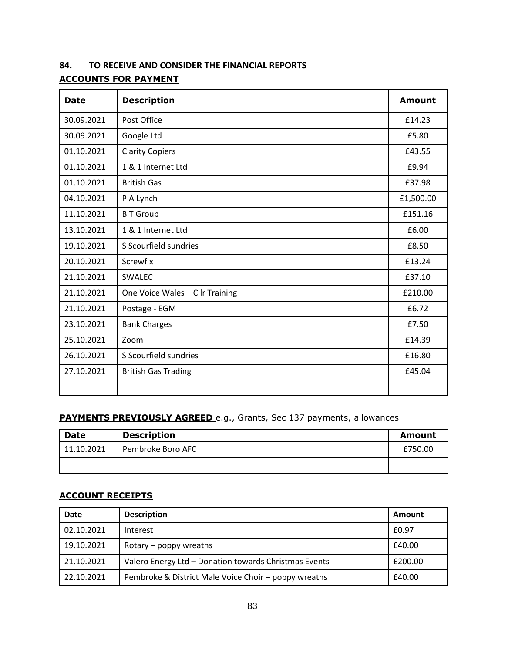## **84. TO RECEIVE AND CONSIDER THE FINANCIAL REPORTS**

# **ACCOUNTS FOR PAYMENT**

| <b>Date</b> | <b>Description</b>              | <b>Amount</b> |
|-------------|---------------------------------|---------------|
| 30.09.2021  | Post Office                     | £14.23        |
| 30.09.2021  | Google Ltd                      | £5.80         |
| 01.10.2021  | <b>Clarity Copiers</b>          | £43.55        |
| 01.10.2021  | 1 & 1 Internet Ltd              | £9.94         |
| 01.10.2021  | <b>British Gas</b>              | £37.98        |
| 04.10.2021  | P A Lynch                       | £1,500.00     |
| 11.10.2021  | <b>B T Group</b>                | £151.16       |
| 13.10.2021  | 1 & 1 Internet Ltd              | £6.00         |
| 19.10.2021  | S Scourfield sundries           | £8.50         |
| 20.10.2021  | Screwfix                        | £13.24        |
| 21.10.2021  | SWALEC                          | £37.10        |
| 21.10.2021  | One Voice Wales - Cllr Training | £210.00       |
| 21.10.2021  | Postage - EGM                   | £6.72         |
| 23.10.2021  | <b>Bank Charges</b>             | £7.50         |
| 25.10.2021  | Zoom                            | £14.39        |
| 26.10.2021  | S Scourfield sundries           | £16.80        |
| 27.10.2021  | <b>British Gas Trading</b>      | £45.04        |
|             |                                 |               |

# **PAYMENTS PREVIOUSLY AGREED** e.g., Grants, Sec 137 payments, allowances

| <b>Date</b> | <b>Description</b> | Amount  |
|-------------|--------------------|---------|
| 11.10.2021  | Pembroke Boro AFC  | £750.00 |
|             |                    |         |

## **ACCOUNT RECEIPTS**

| Date       | <b>Description</b>                                    | Amount  |
|------------|-------------------------------------------------------|---------|
| 02.10.2021 | Interest                                              | £0.97   |
| 19.10.2021 | £40.00<br>Rotary $-$ poppy wreaths                    |         |
| 21.10.2021 | Valero Energy Ltd - Donation towards Christmas Events | £200.00 |
| 22.10.2021 | Pembroke & District Male Voice Choir - poppy wreaths  | £40.00  |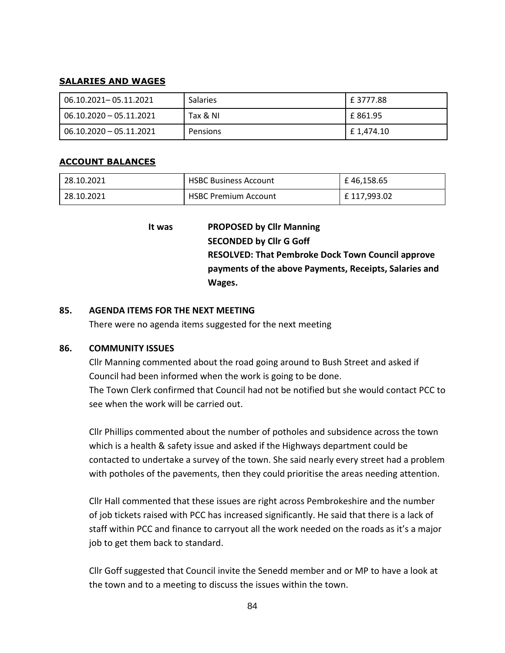#### **SALARIES AND WAGES**

| 06.10.2021-05.11.2021   | <b>Salaries</b> | l £ 3777.88  |
|-------------------------|-----------------|--------------|
| 06.10.2020 - 05.11.2021 | Tax & NI        | l £ 861.95   |
| 06.10.2020 - 05.11.2021 | Pensions        | l £ 1.474.10 |

#### **ACCOUNT BALANCES**

| 28.10.2021 | <b>HSBC Business Account</b> | £46.158.65  |
|------------|------------------------------|-------------|
| 28.10.2021 | <b>HSBC Premium Account</b>  | £117.993.02 |

**It was PROPOSED by Cllr Manning SECONDED by Cllr G Goff RESOLVED: That Pembroke Dock Town Council approve payments of the above Payments, Receipts, Salaries and Wages.**

## **85. AGENDA ITEMS FOR THE NEXT MEETING**

There were no agenda items suggested for the next meeting

## **86. COMMUNITY ISSUES**

Cllr Manning commented about the road going around to Bush Street and asked if Council had been informed when the work is going to be done. The Town Clerk confirmed that Council had not be notified but she would contact PCC to see when the work will be carried out.

Cllr Phillips commented about the number of potholes and subsidence across the town which is a health & safety issue and asked if the Highways department could be contacted to undertake a survey of the town. She said nearly every street had a problem with potholes of the pavements, then they could prioritise the areas needing attention.

Cllr Hall commented that these issues are right across Pembrokeshire and the number of job tickets raised with PCC has increased significantly. He said that there is a lack of staff within PCC and finance to carryout all the work needed on the roads as it's a major job to get them back to standard.

Cllr Goff suggested that Council invite the Senedd member and or MP to have a look at the town and to a meeting to discuss the issues within the town.